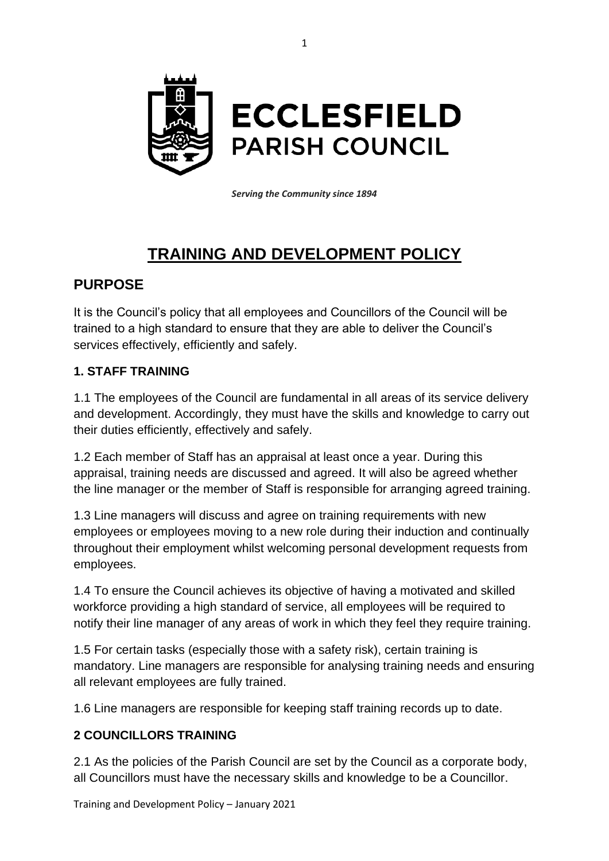

*Serving the Community since 1894*

# **TRAINING AND DEVELOPMENT POLICY**

# **PURPOSE**

It is the Council's policy that all employees and Councillors of the Council will be trained to a high standard to ensure that they are able to deliver the Council's services effectively, efficiently and safely.

#### **1. STAFF TRAINING**

1.1 The employees of the Council are fundamental in all areas of its service delivery and development. Accordingly, they must have the skills and knowledge to carry out their duties efficiently, effectively and safely.

1.2 Each member of Staff has an appraisal at least once a year. During this appraisal, training needs are discussed and agreed. It will also be agreed whether the line manager or the member of Staff is responsible for arranging agreed training.

1.3 Line managers will discuss and agree on training requirements with new employees or employees moving to a new role during their induction and continually throughout their employment whilst welcoming personal development requests from employees.

1.4 To ensure the Council achieves its objective of having a motivated and skilled workforce providing a high standard of service, all employees will be required to notify their line manager of any areas of work in which they feel they require training.

1.5 For certain tasks (especially those with a safety risk), certain training is mandatory. Line managers are responsible for analysing training needs and ensuring all relevant employees are fully trained.

1.6 Line managers are responsible for keeping staff training records up to date.

## **2 COUNCILLORS TRAINING**

2.1 As the policies of the Parish Council are set by the Council as a corporate body, all Councillors must have the necessary skills and knowledge to be a Councillor.

Training and Development Policy – January 2021